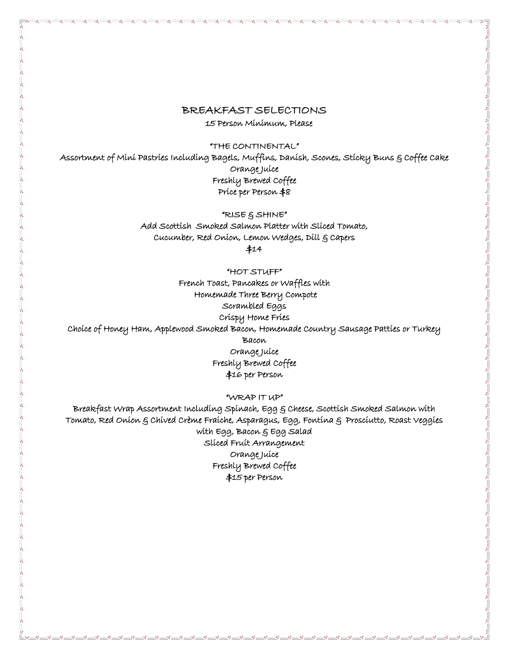# BREAKFAST SELECTIONS

15 Person Minimum, Please

"THE CONTINENTAL"

Assortment of Mini Pastries Including Bagels, Muffins, Danish, Scones, Sticky Buns & Coffee Cake Orange Juice Freshly Brewed Coffee Price per Person \$8

"RISE & SHINE"

Add Scottish Smoked Salmon Platter with Sliced Tomato, Cucumber, Red Onion, Lemon Wedges, Dill & Capers

\$14

"HOT STUFF" French Toast, Pancakes or Waffles with Homemade Three Berry Compote Scrambled Eggs Crispy Home Fries Choice of Honey Ham, Applewood Smoked Bacon, Homemade Country Sausage Patties or Turkey Bacon Orange Juice Freshly Brewed Coffee \$16 per Person

"WRAP IT UP"

Breakfast Wrap Assortment Including Spinach, Egg & Cheese, Scottish Smoked Salmon with Tomato, Red Onion & Chived Crème Fraiche, Asparagus, Egg, Fontina & Prosciutto, Roast Veggies with Egg, Bacon & Egg Salad Sliced Fruit Arrangement Orange Juice Freshly Brewed Coffee \$15 per Person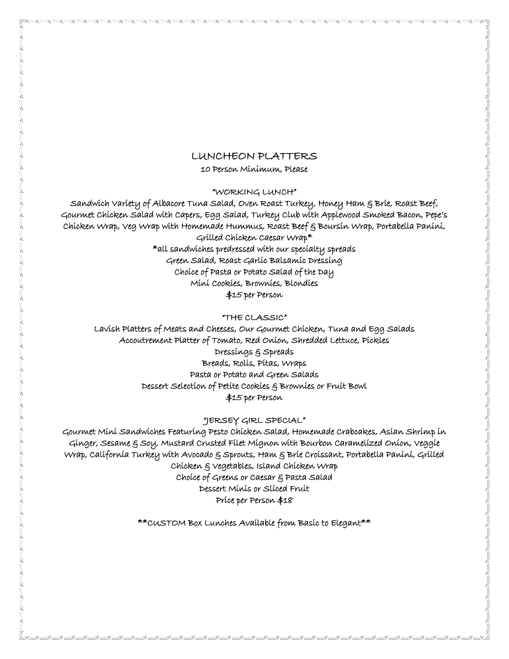# LUNCHEON PLATTERS

10 Person Minimum, Please

"WORKING LUNCH"

Sandwich Variety of Albacore Tuna Salad, Oven Roast Turkey, Honey Ham & Brie, Roast Beef, Gourmet Chicken Salad with Capers, Egg Salad, Turkey Club with Applewood Smoked Bacon, Pepe's Chicken Wrap, Veg Wrap with Homemade Hummus, Roast Beef & Boursin Wrap, Portabella Panini, Grilled Chicken Caesar Wrap\* \*all sandwiches predressed with our specialty spreads Green Salad, Roast Garlic Balsamic Dressing Choice of Pasta or Potato Salad of the Day Mini Cookies, Brownies, Blondies \$15 per Person

"THE CLASSIC"

Lavish Platters of Meats and Cheeses, Our Gourmet Chicken, Tuna and Egg Salads Accoutrement Platter of Tomato, Red Onion, Shredded Lettuce, Pickles Dressings & Spreads Breads, Rolls, Pitas, Wraps Pasta or Potato and Green Salads Dessert Selection of Petite Cookies & Brownies or Fruit Bowl \$15 per Person

#### "JERSEY GIRL SPECIAL"

Gourmet Mini Sandwiches Featuring Pesto Chicken Salad, Homemade Crabcakes, Asian Shrimp in Ginger, Sesame & Soy, Mustard Crusted Filet Mignon with Bourbon Caramelized Onion, Veggie Wrap, California Turkey with Avocado & Sprouts, Ham & Brie Croissant, Portabella Panini, Grilled Chicken & Vegetables, Island Chicken Wrap Choice of Greens or Caesar & Pasta Salad Dessert Minis or Sliced Fruit Price per Person \$18

\*\*CUSTOM Box Lunches Available from Basic to Elegant\*\*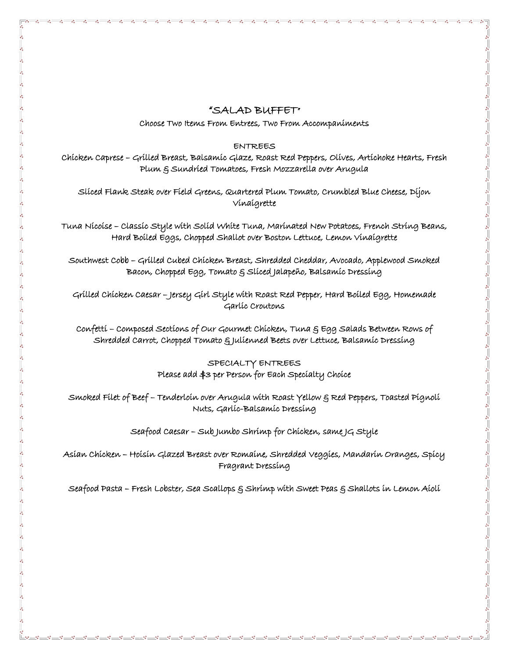# "SALAD BUFFET"

Choose Two Items From Entrees, Two From Accompaniments

#### ENTREES

Chicken Caprese – Grilled Breast, Balsamic Glaze, Roast Red Peppers, Olives, Artichoke Hearts, Fresh Plum & Sundried Tomatoes, Fresh Mozzarella over Arugula

Sliced Flank Steak over Field Greens, Quartered Plum Tomato, Crumbled Blue Cheese, Dijon Vinaigrette

Tuna Nicoise – Classic Style with Solid White Tuna, Marinated New Potatoes, French String Beans, Hard Boiled Eggs, Chopped Shallot over Boston Lettuce, Lemon Vinaigrette

Southwest Cobb – Grilled Cubed Chicken Breast, Shredded Cheddar, Avocado, Applewood Smoked Bacon, Chopped Egg, Tomato & Sliced Jalapeño, Balsamic Dressing

Grilled Chicken Caesar – Jersey Girl Style with Roast Red Pepper, Hard Boiled Egg, Homemade Garlic Croutons

Confetti – Composed Sections of Our Gourmet Chicken, Tuna & Egg Salads Between Rows of Shredded Carrot, Chopped Tomato & Julienned Beets over Lettuce, Balsamic Dressing

### SPECIALTY ENTREES Please add \$3 per Person for Each Specialty Choice

Smoked Filet of Beef – Tenderloin over Arugula with Roast Yellow & Red Peppers, Toasted Pignoli Nuts, Garlic-Balsamic Dressing

Seafood Caesar – Sub Jumbo Shrimp for Chicken, same JG Style

Asian Chicken – Hoisin Glazed Breast over Romaine, Shredded Veggies, Mandarin Oranges, Spicy Fragrant Dressing

Seafood Pasta – Fresh Lobster, Sea Scallops & Shrímp with Sweet Peas & Shallots in Lemon Aioli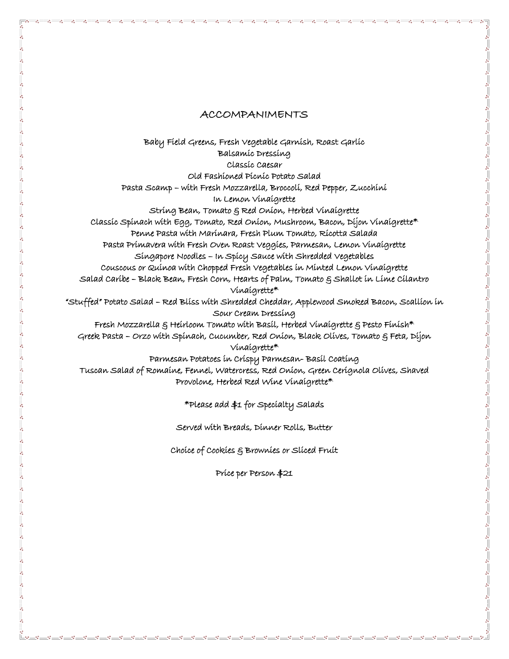### ACCOMPANIMENTS

Baby Field Greens, Fresh Vegetable Garnish, Roast Garlic Balsamic Dressing Classic Caesar Old Fashioned Picnic Potato Salad Pasta Scamp – with Fresh Mozzarella, Broccoli, Red Pepper, Zucchini In Lemon Vinaigrette String Bean, Tomato & Red Onion, Herbed Vinaigrette Classic Spinach with Egg, Tomato, Red Onion, Mushroom, Bacon, Dijon Vinaigrette\* Penne Pasta with Marinara, Fresh Plum Tomato, Ricotta Salada Pasta Primavera with Fresh Oven Roast Veggies, Parmesan, Lemon Vinaigrette Singapore Noodles – In Spicy Sauce with Shredded Vegetables Couscous or Quinoa with Chopped Fresh Vegetables in Minted Lemon Vinaigrette Salad Caribe – Black Bean, Fresh Corn, Hearts of Palm, Tomato & Shallot in Lime Cilantro Vinaigrette\* "Stuffed" Potato Salad – Red Bliss with Shredded Cheddar, Applewood Smoked Bacon, Scallion in Sour Cream Dressing Fresh Mozzarella § Heirloom Tomato with Basil, Herbed Vinaigrette § Pesto Finish\* Greek Pasta – Orzo with Spinach, Cucumber, Red Onion, Black Olives, Tomato & Feta, Dijon Vinaigrette\* Parmesan Potatoes in Crispy Parmesan- Basil Coating Tuscan Salad of Romaine, Fennel, Watercress, Red Onion, Green Cerignola Olives, Shaved Provolone, Herbed Red Wine Vinaigrette\*

\*Please add \$1 for Specialty Salads

Served with Breads, Dinner Rolls, Butter

Choice of Cookies & Brownies or Sliced Fruit

Price per Person \$21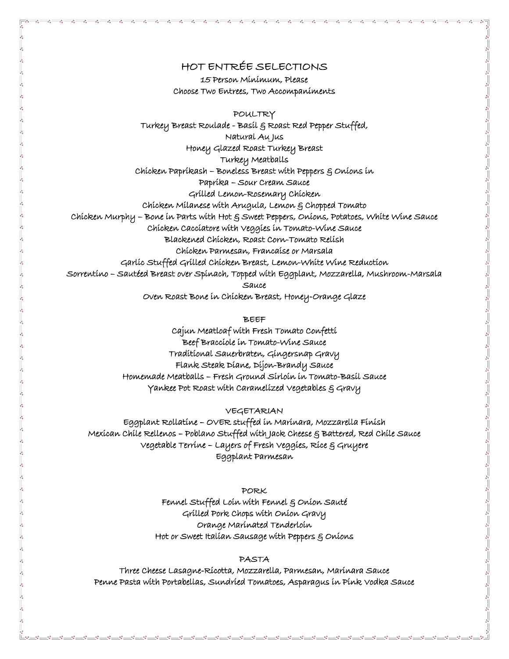# HOT ENTRÉE SELECTIONS

15 Person Minimum, Please Choose Two Entrees, Two Accompaniments

POULTRY Turkey Breast Roulade - Basil & Roast Red Pepper Stuffed, Natural Au Jus Honey Glazed Roast Turkey Breast Turkey Meatballs Chicken Paprikash – Boneless Breast with Peppers & Onions in Paprika – Sour Cream Sauce Grilled Lemon-Rosemary Chicken Chicken Milanese with Arugula, Lemon & Chopped Tomato Chicken Murphy – Bone in Parts with Hot & Sweet Peppers, Onions, Potatoes, White Wine Sauce Chicken Cacciatore with Veggies in Tomato-Wine Sauce Blackened Chicken, Roast Corn-Tomato Relish Chicken Parmesan, Francaise or Marsala Garlic Stuffed Grilled Chicken Breast, Lemon-White Wine Reduction Sorrentino – Sautéed Breast over Spinach, Topped with Eggplant, Mozzarella, Mushroom-Marsala Sauce Oven Roast Bone in Chicken Breast, Honey-Orange Glaze

BEEF

Cajun Meatloaf with Fresh Tomato Confetti Beef Bracciole in Tomato-Wine Sauce Traditional Sauerbraten, Gingersnap Gravy Flank Steak Diane, Dijon-Brandy Sauce Homemade Meatballs – Fresh Ground Sirloin in Tomato-Basil Sauce Yankee Pot Roast with Caramelized Vegetables & Gravy

VEGETARIAN

Eggplant Rollatine – OVER stuffed in Marinara, Mozzarella Finish Mexican Chile Rellenos – Poblano Stuffed with Jack Cheese & Battered, Red Chile Sauce Vegetable Terrine – Layers of Fresh Veggies, Rice & Gruyere Eggplant Parmesan

> PORK Fennel Stuffed Loin with Fennel & Onion Sauté Grilled Pork Chops with Onion Gravy Orange Marinated Tenderloin Hot or Sweet Italian Sausage with Peppers & Onions

#### PASTA

Three Cheese Lasagne-Ricotta, Mozzarella, Parmesan, Marinara Sauce Penne Pasta with Portabellas, Sundried Tomatoes, Asparagus in Pink Vodka Sauce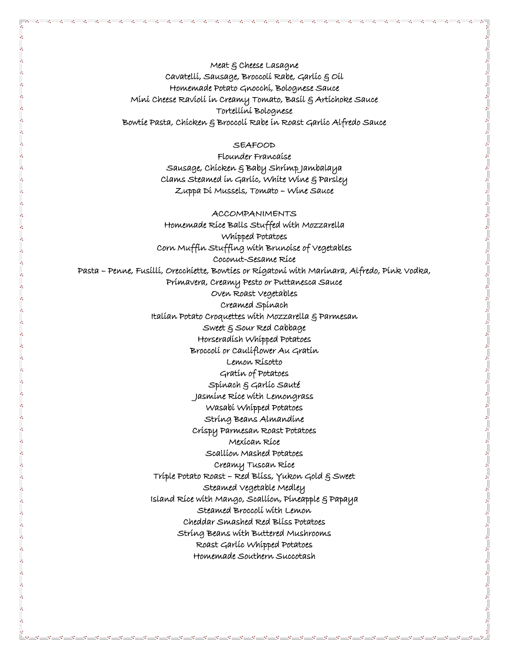Meat & Cheese Lasagne Cavatelli, Sausage, Broccoli Rabe, Garlic & Oil Homemade Potato Gnocchi, Bolognese Sauce Mini Cheese Ravioli in Creamy Tomato, Basil & Artichoke Sauce Tortellini Bolognese Bowtie Pasta, Chicken & Broccoli Rabe in Roast Garlic Alfredo Sauce

#### **SEAFOOD**

Flounder Francaise Sausage, Chicken & Baby Shrimp Jambalaya Clams Steamed in Garlic, White Wine & Parsley Zuppa Di Mussels, Tomato – Wine Sauce

ACCOMPANIMENTS Homemade Rice Balls Stuffed with Mozzarella Whipped Potatoes Corn Muffin Stuffing with Brunoise of Vegetables Coconut-Sesame Rice Pasta – Penne, Fusilli, Orecchiette, Bowties or Rigatoni with Marinara, Alfredo, Pink Vodka, Primavera, Creamy Pesto or Puttanesca Sauce Oven Roast Vegetables Creamed Spinach Italian Potato Croquettes with Mozzarella & Parmesan Sweet & Sour Red Cabbage Horseradish Whipped Potatoes Broccoli or Cauliflower Au Gratin Lemon Risotto Gratin of Potatoes Spinach & Garlic Sauté Jasmine Rice with Lemongrass Wasabi Whipped Potatoes String Beans Almandine Crispy Parmesan Roast Potatoes Mexican Rice Scallion Mashed Potatoes Creamy Tuscan Rice Triple Potato Roast – Red Bliss, Yukon Gold & Sweet Steamed Vegetable Medley Island Rice with Mango, Scallion, Pineapple & Papaya Steamed Broccoli with Lemon Cheddar Smashed Red Bliss Potatoes String Beans with Buttered Mushrooms Roast Garlic Whipped Potatoes Homemade Southern Succotash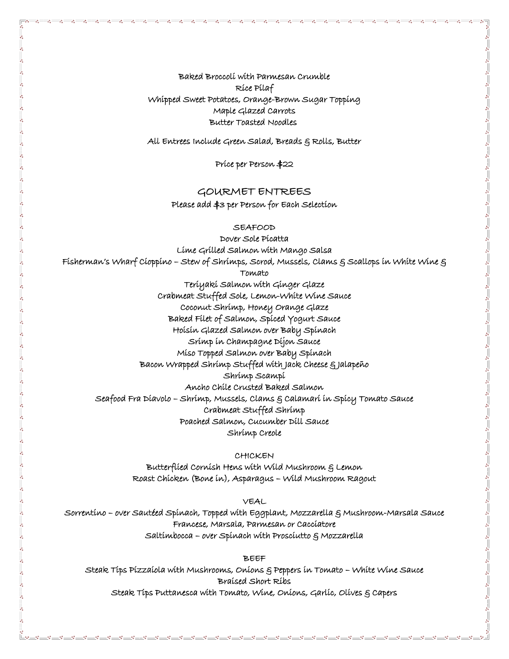Baked Broccoli with Parmesan Crumble Rice Pilaf Whipped Sweet Potatoes, Orange-Brown Sugar Topping Maple Glazed Carrots Butter Toasted Noodles

All Entrees Include Green Salad, Breads & Rolls, Butter

Price per Person \$22

### GOURMET ENTREES

Please add \$3 per Person for Each Selection

SEAFOOD

Dover Sole Picatta Lime Grilled Salmon with Mango Salsa Fisherman's Wharf Cioppino – Stew of Shrimps, Scrod, Mussels, Clams & Scallops in White Wine & Tomato Teriyaki Salmon with Ginger Glaze Crabmeat Stuffed Sole, Lemon-White Wine Sauce Coconut Shrimp, Honey Orange Glaze Baked Filet of Salmon, Spiced Yogurt Sauce Hoisin Glazed Salmon over Baby Spinach Srimp in Champagne Dijon Sauce Miso Topped Salmon over Baby Spinach Bacon Wrapped Shrimp Stuffed with Jack Cheese & Jalapeño Shrimp Scampi Ancho Chile Crusted Baked Salmon Seafood Fra Diavolo – Shrimp, Mussels, Clams & Calamari in Spicy Tomato Sauce Crabmeat Stuffed Shrimp Poached Salmon, Cucumber Dill Sauce Shrimp Creole

CHICKEN

Butterflied Cornish Hens with Wild Mushroom & Lemon Roast Chicken (Bone in), Asparagus – Wild Mushroom Ragout

VEAL

Sorrentino – over Sautéed Spinach, Topped with Eggplant, Mozzarella & Mushroom-Marsala Sauce Francese, Marsala, Parmesan or Cacciatore Saltimbocca – over Spinach with Prosciutto & Mozzarella

BEEF

Steak Tips Pizzaiola with Mushrooms, Onions & Peppers in Tomato – White Wine Sauce Braised Short Ribs Steak Tips Puttanesca with Tomato, Wine, Onions, Garlic, Olives & Capers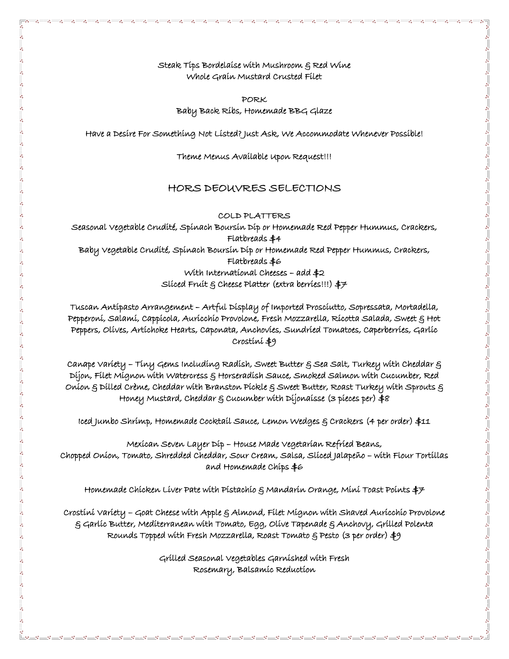Steak Tips Bordelaise with Mushroom & Red Wine Whole Grain Mustard Crusted Filet

PORK Baby Back Ribs, Homemade BBG Glaze

Have a Desire For Something Not Listed? Just Ask, We Accommodate Whenever Possible!

Theme Menus Available Upon Request!!!

### HORS DEOUVRES SELECTIONS

COLD PLATTERS

Seasonal Vegetable Crudité, Spinach Boursin Dip or Homemade Red Pepper Hummus, Crackers, Flatbreads \$4 Baby Vegetable Crudité, Spinach Boursin Dip or Homemade Red Pepper Hummus, Crackers, Flatbreads \$6 With International Cheeses – add \$2 Sliced Fruit & Cheese Platter (extra berries!!!) \$7

Tuscan Antipasto Arrangement – Artful Display of Imported Prosciutto, Sopressata, Mortadella, Pepperoni, Salami, Cappicola, Auricchio Provolone, Fresh Mozzarella, Ricotta Salada, Sweet & Hot Peppers, Olives, Artichoke Hearts, Caponata, Anchovies, Sundried Tomatoes, Caperberries, Garlic Crostini \$9

Canape Variety – Tiny Gems Including Radish, Sweet Butter & Sea Salt, Turkey with Cheddar & Dijon, Filet Mignon with Watercress & Horseradish Sauce, Smoked Salmon with Cucumber, Red Onion & Dilled Crème, Cheddar with Branston Pickle & Sweet Butter, Roast Turkey with Sprouts & Honey Mustard, Cheddar & Cucumber with Dijonaisse (3 pieces per) \$8

Iced Jumbo Shrimp, Homemade Cocktail Sauce, Lemon Wedges & Crackers (4 per order) \$11

Mexican Seven Layer Dip – House Made Vegetarian Refried Beans, Chopped Onion, Tomato, Shredded Cheddar, Sour Cream, Salsa, Sliced Jalapeño – with Flour Tortillas and Homemade Chips \$6

Homemade Chicken Liver Pate with Pistachio  $\xi$  Mandarin Orange, Mini Toast Points  $\ddagger$ 7

Crostini Variety – Goat Cheese with Apple & Almond, Filet Mignon with Shaved Auricchio Provolone  $\xi$  Garlíc Butter, Medíterranean with Tomato, Egg, Olive Tapenade  $\xi$  Anchovy, Grilled Polenta Rounds Topped with Fresh Mozzarella, Roast Tomato & Pesto (3 per order) \$9

> Grilled Seasonal Vegetables Garnished with Fresh Rosemary, Balsamic Reduction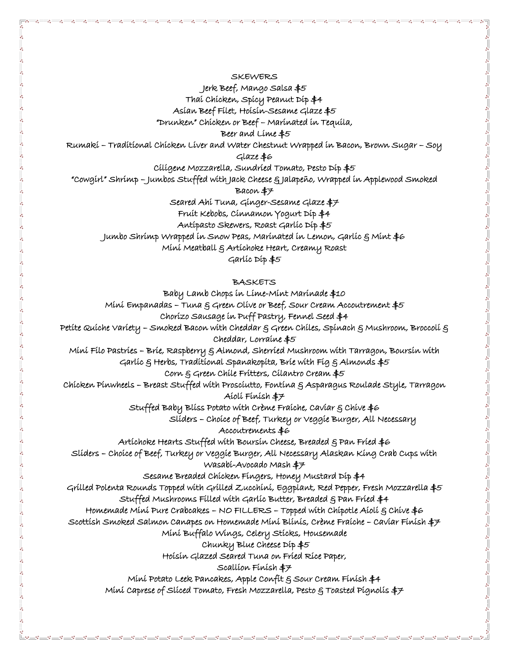**SKEWERS** 

Jerk Beef, Mango Salsa \$5

Thai Chicken, Spicy Peanut Dip \$4

Asian Beef Filet, Hoisin-Sesame Glaze \$5

"Drunken" Chicken or Beef – Marinated in Tequila,

Beer and Lime \$5

Rumaki – Traditional Chicken Liver and Water Chestnut Wrapped in Bacon, Brown Sugar – Soy

Glaze \$6

Ciligene Mozzarella, Sundried Tomato, Pesto Dip \$5

"Cowgirl" Shrimp – Jumbos Stuffed with Jack Cheese & Jalapeño, Wrapped in Applewood Smoked

Bacon \$7

Seared Ahi Tuna, Ginger-Sesame Glaze \$7

Fruit Kebobs, Cinnamon Yogurt Dip \$4

Antipasto Skewers, Roast Garlic Dip \$5

Jumbo Shrimp Wrapped in Snow Peas, Marinated in Lemon, Garlic & Mint \$6

Mini Meatball & Artichoke Heart, Creamy Roast

Garlic Dip \$5

**BASKETS** 

Baby Lamb Chops in Lime-Mint Marinade \$10 Mini Empanadas – Tuna  $\xi$  Green Olive or Beef, Sour Cream Accoutrement  $\ddagger$ 5 Chorizo Sausage in Puff Pastry, Fennel Seed \$4 Petite Quiche Variety – Smoked Bacon with Cheddar & Green Chiles, Spinach & Mushroom, Broccoli & Cheddar, Lorraine \$5 Mini Filo Pastries – Brie, Raspberry & Almond, Sherried Mushroom with Tarragon, Boursin with Garlíc  $\xi$  Herbs, Traditional Spanakopita, Brie with Fig  $\xi$  Almonds  $\ddagger$ 5 Corn & Green Chile Fritters, Cilantro Cream \$5 Chicken Pinwheels – Breast Stuffed with Prosciutto, Fontina & Asparagus Roulade Style, Tarragon Aioli Finish \$7 Stuffed Baby Bliss Potato with Crème Fraiche, Caviar  $\xi$  Chive  $\ddagger \varepsilon$  Sliders – Choice of Beef, Turkey or Veggie Burger, All Necessary Accoutrements \$6 Artichoke Hearts Stuffed with Boursin Cheese, Breaded § Pan Fried \$6 Sliders – Choice of Beef, Turkey or Veggie Burger, All Necessary Alaskan King Crab Cups with Wasabi-Avocado Mash \$7 Sesame Breaded Chicken Fingers, Honey Mustard Dip \$4 Grilled Polenta Rounds Topped with Grilled Zucchini, Eggplant, Red Pepper, Fresh Mozzarella \$5 Stuffed Mushrooms Filled with Garlic Butter, Breaded & Pan Fried \$4 Homemade Mini Pure Crabcakes – NO FILLERS – Topped with Chipotle Aioli & Chive \$6 Scottish Smoked Salmon Canapes on Homemade Mini Blinis, Crème Fraiche – Caviar Finish \$7 Mini Buffalo Wings, Celery Sticks, Housemade Chunky Blue Cheese Dip \$5 Hoisin Glazed Seared Tuna on Fried Rice Paper, Scallion Finish \$7 Mini Potato Leek Pancakes, Apple Confit & Sour Cream Finish \$4 Mini Caprese of Sliced Tomato, Fresh Mozzarella, Pesto & Toasted Pignolis \$7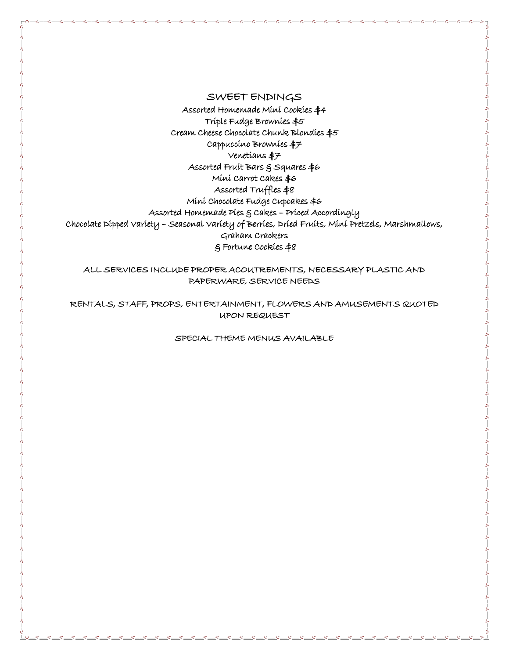### SWEET ENDINGS

Assorted Homemade Mini Cookies \$4 Triple Fudge Brownies \$5 Cream Cheese Chocolate Chunk Blondies \$5 Cappuccino Brownies \$7 Venetians \$7 Assorted Fruit Bars & Squares \$6 Mini Carrot Cakes \$6 Assorted Truffles \$8 Mini Chocolate Fudge Cupcakes \$6 Assorted Homemade Pies & Cakes – Priced Accordingly Chocolate Dipped Variety – Seasonal Variety of Berries, Dried Fruits, Mini Pretzels, Marshmallows, Graham Crackers & Fortune Cookies \$8

ALL SERVICES INCLUDE PROPER ACOUTREMENTS, NECESSARY PLASTIC AND PAPERWARE, SERVICE NEEDS

RENTALS, STAFF, PROPS, ENTERTAINMENT, FLOWERS AND AMUSEMENTS QUOTED UPON REQUEST

SPECIAL THEME MENUS AVAILABLE